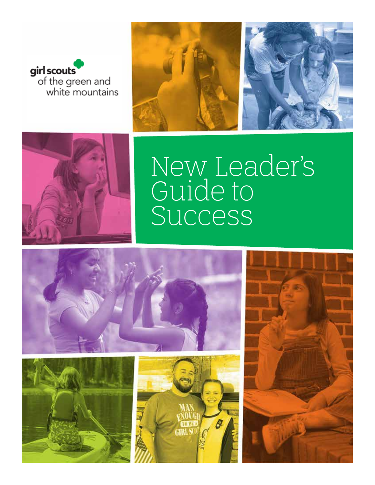





# New Leader's Guide to Success







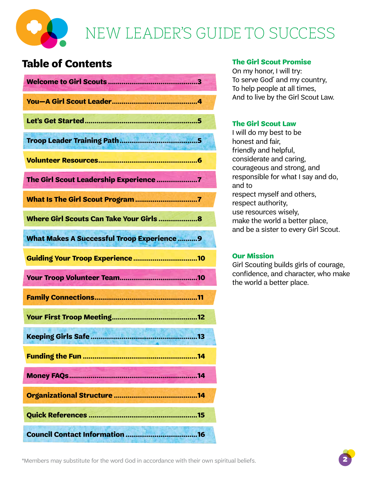

# **Table of Contents**

| The Girl Scout Leadership Experience 7            |
|---------------------------------------------------|
|                                                   |
|                                                   |
| <b>What Makes A Successful Troop Experience 9</b> |
| <b>Guiding Your Troop Experience 10</b>           |
|                                                   |
|                                                   |
|                                                   |
|                                                   |
|                                                   |
|                                                   |
|                                                   |
|                                                   |
|                                                   |

## **The Girl Scout Promise**

On my honor, I will try: To serve God\* and my country, To help people at all times, And to live by the Girl Scout Law.

## **The Girl Scout Law**

I will do my best to be honest and fair, friendly and helpful, considerate and caring, courageous and strong, and responsible for what I say and do, and to respect myself and others, respect authority, use resources wisely, make the world a better place, and be a sister to every Girl Scout.

## **Our Mission**

Girl Scouting builds girls of courage, confidence, and character, who make the world a better place.

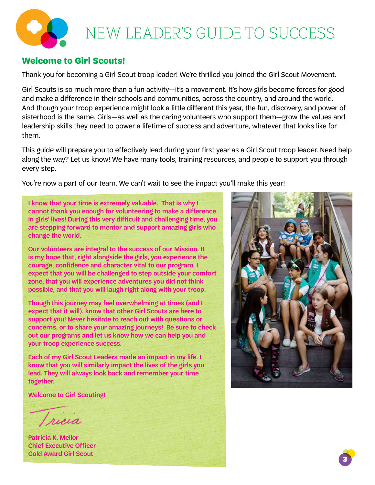# **Welcome to Girl Scouts!**

Thank you for becoming a Girl Scout troop leader! We're thrilled you joined the Girl Scout Movement.

Girl Scouts is so much more than a fun activity—it's a movement. It's how girls become forces for good and make a difference in their schools and communities, across the country, and around the world. And though your troop experience might look a little different this year, the fun, discovery, and power of sisterhood is the same. Girls—as well as the caring volunteers who support them—grow the values and leadership skills they need to power a lifetime of success and adventure, whatever that looks like for them.

This guide will prepare you to effectively lead during your first year as a Girl Scout troop leader. Need help along the way? Let us know! We have many tools, training resources, and people to support you through every step.

You're now a part of our team. We can't wait to see the impact you'll make this year!

I know that your time is extremely valuable. That is why I cannot thank you enough for volunteering to make a difference in girls' lives! During this very difficult and challenging time, you are stepping forward to mentor and support amazing girls who change the world.

Our volunteers are integral to the success of our Mission. It is my hope that, right alongside the girls, you experience the courage, confidence and character vital to our program. I expect that you will be challenged to step outside your comfort zone, that you will experience adventures you did not think possible, and that you will laugh right along with your troop.

Though this journey may feel overwhelming at times (and I expect that it will), know that other Girl Scouts are here to support you! Never hesitate to reach out with questions or concerns, or to share your amazing journeys! Be sure to check out our programs and let us know how we can help you and your troop experience success.

Each of my Girl Scout Leaders made an impact in my life. I know that you will similarly impact the lives of the girls you lead. They will always look back and remember your time together.

Welcome to Girl Scouting!

Iricia

Patricia K. Mellor Chief Executive Officer Gold Award Girl Scout



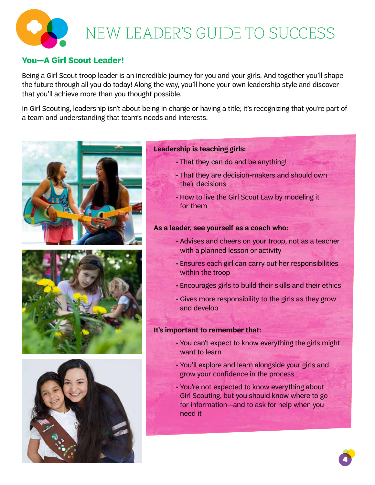# **You—A Girl Scout Leader!**

Being a Girl Scout troop leader is an incredible journey for you and your girls. And together you'll shape the future through all you do today! Along the way, you'll hone your own leadership style and discover that you'll achieve more than you thought possible.

In Girl Scouting, leadership isn't about being in charge or having a title; it's recognizing that you're part of a team and understanding that team's needs and interests.







## **Leadership is teaching girls:**

- That they can do and be anything!
- That they are decision-makers and should own their decisions
- How to live the Girl Scout Law by modeling it for them

## **As a leader, see yourself as a coach who:**

- Advises and cheers on your troop, not as a teacher with a planned lesson or activity
- Ensures each girl can carry out her responsibilities within the troop
- Encourages girls to build their skills and their ethics
- Gives more responsibility to the girls as they grow and develop

## **It's important to remember that:**

- You can't expect to know everything the girls might want to learn
- You'll explore and learn alongside your girls and grow your confidence in the process
- You're not expected to know everything about Girl Scouting, but you should know where to go for information—and to ask for help when you need it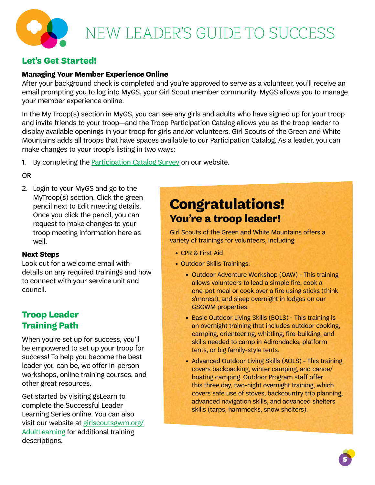# **Let's Get Started!**

## **Managing Your Member Experience Online**

After your background check is completed and you're approved to serve as a volunteer, you'll receive an email prompting you to log into MyGS, your Girl Scout member community. MyGS allows you to manage your member experience online.

In the My Troop(s) section in MyGS, you can see any girls and adults who have signed up for your troop and invite friends to your troop—and the Troop Participation Catalog allows you as the troop leader to display available openings in your troop for girls and/or volunteers. Girl Scouts of the Green and White Mountains adds all troops that have spaces available to our Participation Catalog. As a leader, you can make changes to your troop's listing in two ways:

1. By completing the **Participation Catalog Survey** on our website.

OR

2. Login to your MyGS and go to the MyTroop(s) section. Click the green pencil next to Edit meeting details. Once you click the pencil, you can request to make changes to your troop meeting information here as well.

## **Next Steps**

Look out for a welcome email with details on any required trainings and how to connect with your service unit and council.

# **Troop Leader Training Path**

When you're set up for success, you'll be empowered to set up your troop for success! To help you become the best leader you can be, we offer in-person workshops, online training courses, and other great resources.

Get started by visiting gsLearn to complete the Successful Leader Learning Series online. You can also visit our website at girlscoutsgwm.org/ AdultLearning for additional training descriptions.

# **Congratulations! You're a troop leader!**

Girl Scouts of the Green and White Mountains offers a variety of trainings for volunteers, including:

- CPR & First Aid
- Outdoor Skills Trainings:
	- Outdoor Adventure Workshop (OAW) This training allows volunteers to lead a simple fire, cook a one-pot meal or cook over a fire using sticks (think s'mores!), and sleep overnight in lodges on our GSGWM properties.
	- Basic Outdoor Living Skills (BOLS) This training is an overnight training that includes outdoor cooking, camping, orienteering, whittling, fire-building, and skills needed to camp in Adirondacks, platform tents, or big family-style tents.
	- Advanced Outdoor Living Skills (AOLS) This training covers backpacking, winter camping, and canoe/ boating camping. Outdoor Program staff offer this three day, two-night overnight training, which covers safe use of stoves, backcountry trip planning, advanced navigation skills, and advanced shelters skills (tarps, hammocks, snow shelters).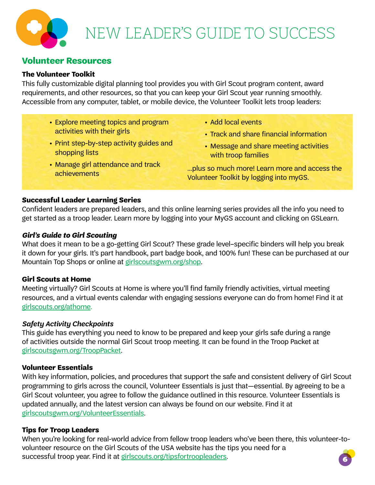# **Volunteer Resources**

## **The Volunteer Toolkit**

This fully customizable digital planning tool provides you with Girl Scout program content, award requirements, and other resources, so that you can keep your Girl Scout year running smoothly. Accessible from any computer, tablet, or mobile device, the Volunteer Toolkit lets troop leaders:

- **•** Explore meeting topics and program activities with their girls
- **•** Print step-by-step activity guides and shopping lists
- **•** Manage girl attendance and track achievements
- **•** Add local events
- **•** Track and share financial information
- **•** Message and share meeting activities with troop families

…plus so much more! Learn more and access the Volunteer Toolkit by logging into myGS.

## **Successful Leader Learning Series**

Confident leaders are prepared leaders, and this online learning series provides all the info you need to get started as a troop leader. Learn more by logging into your MyGS account and clicking on GSLearn.

## *Girl's Guide to Girl Scouting*

What does it mean to be a go-getting Girl Scout? These grade level–specific binders will help you break it down for your girls. It's part handbook, part badge book, and 100% fun! These can be purchased at our Mountain Top Shops or online at girlscoutsgwm.org/shop.

## **Girl Scouts at Home**

Meeting virtually? Girl Scouts at Home is where you'll find family friendly activities, virtual meeting resources, and a virtual events calendar with engaging sessions everyone can do from home! Find it at girlscouts.org/athome.

### *Safety Activity Checkpoints*

This guide has everything you need to know to be prepared and keep your girls safe during a range of activities outside the normal Girl Scout troop meeting. It can be found in the Troop Packet at girlscoutsgwm.org/TroopPacket.

### **Volunteer Essentials**

With key information, policies, and procedures that support the safe and consistent delivery of Girl Scout programming to girls across the council, Volunteer Essentials is just that—essential. By agreeing to be a Girl Scout volunteer, you agree to follow the guidance outlined in this resource. Volunteer Essentials is updated annually, and the latest version can always be found on our website. Find it at girlscoutsgwm.org/VolunteerEssentials.

## **Tips for Troop Leaders**

6 When you're looking for real-world advice from fellow troop leaders who've been there, this volunteer-tovolunteer resource on the Girl Scouts of the USA website has the tips you need for a successful troop year. Find it at girlscouts.org/tipsfortroopleaders.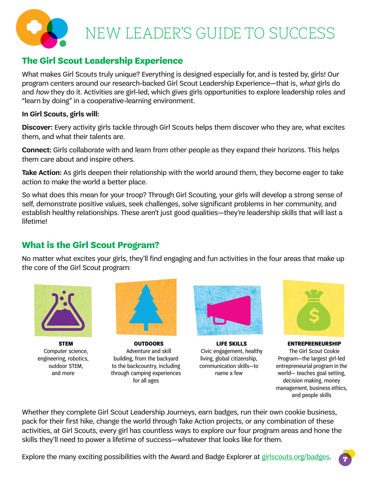

# **The Girl Scout Leadership Experience**

What makes Girl Scouts truly unique? Everything is designed especially for, and is tested by, girls! Our program centers around our research-backed Girl Scout Leadership Experience—that is, *what* girls do and *how* they do it. Activities are girl-led, which gives girls opportunities to explore leadership roles and "learn by doing" in a cooperative-learning environment.

## **In Girl Scouts, girls will:**

**Discover:** Every activity girls tackle through Girl Scouts helps them discover who they are, what excites them, and what their talents are.

**Connect:** Girls collaborate with and learn from other people as they expand their horizons. This helps them care about and inspire others.

**Take Action:** As girls deepen their relationship with the world around them, they become eager to take action to make the world a better place.

So what does this mean for your troop? Through Girl Scouting, your girls will develop a strong sense of self, demonstrate positive values, seek challenges, solve significant problems in her community, and establish healthy relationships. These aren't just good qualities—they're leadership skills that will last a lifetime!

# **What is the Girl Scout Program?**

No matter what excites your girls, they'll find engaging and fun activities in the four areas that make up the core of the Girl Scout program:



**STEM** Computer science, engineering, robotics, outdoor STEM, and more



**OUTDOORS** Adventure and skill building, from the backyard to the backcountry, including through camping experiences for all ages



**LIFE SKILLS** Civic engagement, healthy living, global citizenship, communication skills—to name a few



**ENTREPRENEURSHIP** The Girl Scout Cookie Program—the largest girl-led entrepreneurial program in the world— teaches goal setting, decision making, money management, business ethics, and people skills

Whether they complete Girl Scout Leadership Journeys, earn badges, run their own cookie business, pack for their first hike, change the world through Take Action projects, or any combination of these activities, at Girl Scouts, every girl has countless ways to explore our four program areas and hone the skills they'll need to power a lifetime of success—whatever that looks like for them.

Explore the many exciting possibilities with the Award and Badge Explorer at girlscouts.org/badges.

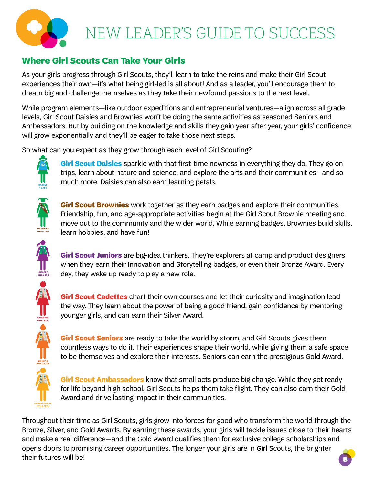

# **Where Girl Scouts Can Take Your Girls**

As your girls progress through Girl Scouts, they'll learn to take the reins and make their Girl Scout experiences their own—it's what being girl-led is all about! And as a leader, you'll encourage them to dream big and challenge themselves as they take their newfound passions to the next level.

While program elements—like outdoor expeditions and entrepreneurial ventures—align across all grade levels, Girl Scout Daisies and Brownies won't be doing the same activities as seasoned Seniors and Ambassadors. But by building on the knowledge and skills they gain year after year, your girls' confidence will grow exponentially and they'll be eager to take those next steps.

So what can you expect as they grow through each level of Girl Scouting?



**Girl Scout Daisies** sparkle with that first-time newness in everything they do. They go on trips, learn about nature and science, and explore the arts and their communities—and so much more. Daisies can also earn learning petals.



**2ND & 3RD**

**JUNIORS 4TH & 5TH**

**CADETTES 6TH - 8TH**

**SENIORS 9TH & 10TH**

**AMBASSADORS 11TH & 12TH**

**Girl Scout Brownies** work together as they earn badges and explore their communities. Friendship, fun, and age-appropriate activities begin at the Girl Scout Brownie meeting and move out to the community and the wider world. While earning badges, Brownies build skills, learn hobbies, and have fun!

**Girl Scout Juniors** are big-idea thinkers. They're explorers at camp and product designers when they earn their Innovation and Storytelling badges, or even their Bronze Award. Every day, they wake up ready to play a new role.

**Girl Scout Cadettes** chart their own courses and let their curiosity and imagination lead the way. They learn about the power of being a good friend, gain confidence by mentoring younger girls, and can earn their Silver Award.

**Girl Scout Seniors** are ready to take the world by storm, and Girl Scouts gives them countless ways to do it. Their experiences shape their world, while giving them a safe space to be themselves and explore their interests. Seniors can earn the prestigious Gold Award.

**Girl Scout Ambassadors** know that small acts produce big change. While they get ready for life beyond high school, Girl Scouts helps them take flight. They can also earn their Gold Award and drive lasting impact in their communities.

Throughout their time as Girl Scouts, girls grow into forces for good who transform the world through the Bronze, Silver, and Gold Awards. By earning these awards, your girls will tackle issues close to their hearts and make a real difference—and the Gold Award qualifies them for exclusive college scholarships and opens doors to promising career opportunities. The longer your girls are in Girl Scouts, the brighter their futures will be!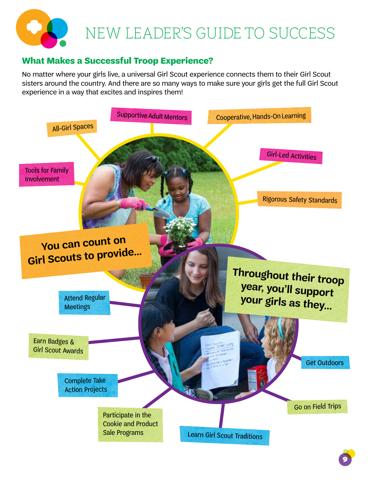

# **What Makes a Successful Troop Experience?**

No matter where your girls live, a universal Girl Scout experience connects them to their Girl Scout sisters around the country. And there are so many ways to make sure your girls get the full Girl Scout experience in a way that excites and inspires them!

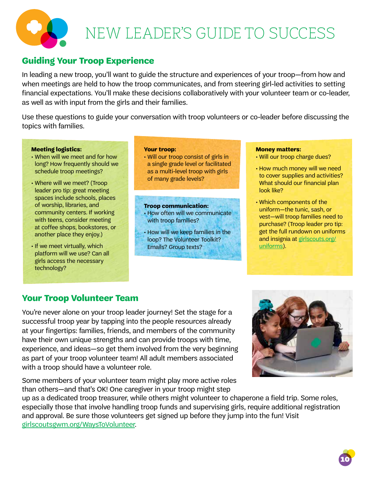

# **Guiding Your Troop Experience**

In leading a new troop, you'll want to guide the structure and experiences of your troop—from how and when meetings are held to how the troop communicates, and from steering girl-led activities to setting financial expectations. You'll make these decisions collaboratively with your volunteer team or co-leader, as well as with input from the girls and their families.

Use these questions to guide your conversation with troop volunteers or co-leader before discussing the topics with families.

#### **Meeting logistics:**

- When will we meet and for how long? How frequently should we schedule troop meetings?
- Where will we meet? (Troop leader pro tip: great meeting spaces include schools, places of worship, libraries, and community centers. If working with teens, consider meeting at coffee shops, bookstores, or another place they enjoy.)
- If we meet virtually, which platform will we use? Can all girls access the necessary technology?

#### **Your troop:**

• Will our troop consist of girls in a single grade level or facilitated as a multi-level troop with girls of many grade levels?

#### **Troop communication:**

- How often will we communicate with troop families?
- How will we keep families in the loop? The Volunteer Toolkit? Emails? Group texts?

#### **Money matters:**

- Will our troop charge dues?
- How much money will we need to cover supplies and activities? What should our financial plan look like?
- Which components of the uniform—the tunic, sash, or vest—will troop families need to purchase? (Troop leader pro tip: get the full rundown on uniforms and insignia at girlscouts.org/ uniforms).

# **Your Troop Volunteer Team**

You're never alone on your troop leader journey! Set the stage for a successful troop year by tapping into the people resources already at your fingertips: families, friends, and members of the community have their own unique strengths and can provide troops with time, experience, and ideas—so get them involved from the very beginning as part of your troop volunteer team! All adult members associated with a troop should have a volunteer role.

Some members of your volunteer team might play more active roles than others—and that's OK! One caregiver in your troop might step



up as a dedicated troop treasurer, while others might volunteer to chaperone a field trip. Some roles, especially those that involve handling troop funds and supervising girls, require additional registration and approval. Be sure those volunteers get signed up before they jump into the fun! Visit girlscoutsgwm.org/WaysToVolunteer.

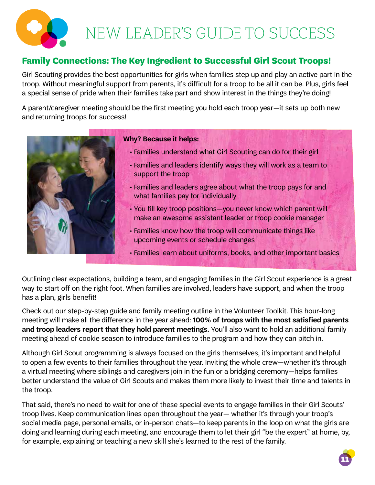

# **Family Connections: The Key Ingredient to Successful Girl Scout Troops!**

Girl Scouting provides the best opportunities for girls when families step up and play an active part in the troop. Without meaningful support from parents, it's difficult for a troop to be all it can be. Plus, girls feel a special sense of pride when their families take part and show interest in the things they're doing!

A parent/caregiver meeting should be the first meeting you hold each troop year—it sets up both new and returning troops for success!



### **Why? Because it helps:**

- Families understand what Girl Scouting can do for their girl
- Families and leaders identify ways they will work as a team to support the troop
- Families and leaders agree about what the troop pays for and what families pay for individually
- You fill key troop positions—you never know which parent will make an awesome assistant leader or troop cookie manager
- Families know how the troop will communicate things like upcoming events or schedule changes
- Families learn about uniforms, books, and other important basics

Outlining clear expectations, building a team, and engaging families in the Girl Scout experience is a great way to start off on the right foot. When families are involved, leaders have support, and when the troop has a plan, girls benefit!

Check out our step-by-step guide and family meeting outline in the Volunteer Toolkit. This hour-long meeting will make all the difference in the year ahead: **100% of troops with the most satisfied parents and troop leaders report that they hold parent meetings.** You'll also want to hold an additional family meeting ahead of cookie season to introduce families to the program and how they can pitch in.

Although Girl Scout programming is always focused on the girls themselves, it's important and helpful to open a few events to their families throughout the year. Inviting the whole crew—whether it's through a virtual meeting where siblings and caregivers join in the fun or a bridging ceremony—helps families better understand the value of Girl Scouts and makes them more likely to invest their time and talents in the troop.

That said, there's no need to wait for one of these special events to engage families in their Girl Scouts' troop lives. Keep communication lines open throughout the year— whether it's through your troop's social media page, personal emails, or in-person chats—to keep parents in the loop on what the girls are doing and learning during each meeting, and encourage them to let their girl "be the expert" at home, by, for example, explaining or teaching a new skill she's learned to the rest of the family.

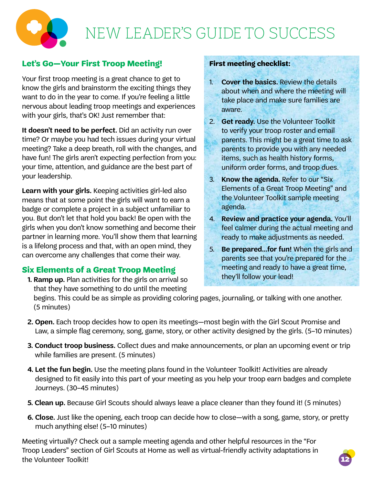

# **Let's Go—Your First Troop Meeting!**

Your first troop meeting is a great chance to get to know the girls and brainstorm the exciting things they want to do in the year to come. If you're feeling a little nervous about leading troop meetings and experiences with your girls, that's OK! Just remember that:

**It doesn't need to be perfect.** Did an activity run over time? Or maybe you had tech issues during your virtual meeting? Take a deep breath, roll with the changes, and have fun! The girls aren't expecting perfection from you: your time, attention, and guidance are the best part of your leadership.

**Learn with your girls.** Keeping activities girl-led also means that at some point the girls will want to earn a badge or complete a project in a subject unfamiliar to you. But don't let that hold you back! Be open with the girls when you don't know something and become their partner in learning more. You'll show them that learning is a lifelong process and that, with an open mind, they can overcome any challenges that come their way.

# **Six Elements of a Great Troop Meeting**

 **1. Ramp up.** Plan activities for the girls on arrival so that they have something to do until the meeting

# **First meeting checklist:**

- 1. **Cover the basics.** Review the details about when and where the meeting will take place and make sure families are aware.
- 2. **Get ready.** Use the Volunteer Toolkit to verify your troop roster and email parents. This might be a great time to ask parents to provide you with any needed items, such as health history forms, uniform order forms, and troop dues.
- 3. **Know the agenda.** Refer to our "Six Elements of a Great Troop Meeting" and the Volunteer Toolkit sample meeting agenda.
- 4. **Review and practice your agenda.** You'll feel calmer during the actual meeting and ready to make adjustments as needed.
- 5. **Be prepared…for fun!** When the girls and parents see that you're prepared for the meeting and ready to have a great time, they'll follow your lead!

begins. This could be as simple as providing coloring pages, journaling, or talking with one another. (5 minutes)

- **2. Open.** Each troop decides how to open its meetings—most begin with the Girl Scout Promise and Law, a simple flag ceremony, song, game, story, or other activity designed by the girls. (5–10 minutes)
- **3. Conduct troop business.** Collect dues and make announcements, or plan an upcoming event or trip while families are present. (5 minutes)
- **4. Let the fun begin.** Use the meeting plans found in the Volunteer Toolkit! Activities are already designed to fit easily into this part of your meeting as you help your troop earn badges and complete Journeys. (30–45 minutes)
- **5. Clean up.** Because Girl Scouts should always leave a place cleaner than they found it! (5 minutes)
- **6. Close.** Just like the opening, each troop can decide how to close—with a song, game, story, or pretty much anything else! (5–10 minutes)

Meeting virtually? Check out a sample meeting agenda and other helpful resources in the "For Troop Leaders" section of Girl Scouts at Home as well as virtual-friendly activity adaptations in the Volunteer Toolkit!

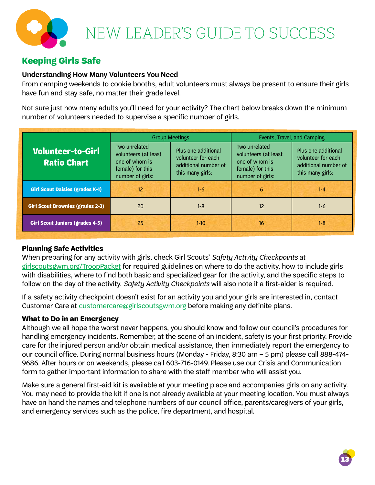# **Keeping Girls Safe**

## **Understanding How Many Volunteers You Need**

From camping weekends to cookie booths, adult volunteers must always be present to ensure their girls have fun and stay safe, no matter their grade level.

Not sure just how many adults you'll need for your activity? The chart below breaks down the minimum number of volunteers needed to supervise a specific number of girls.

|                                                | <b>Group Meetings</b>                                                                           |                                                                                       | Events, Travel, and Camping                                                                     |                                                                                       |
|------------------------------------------------|-------------------------------------------------------------------------------------------------|---------------------------------------------------------------------------------------|-------------------------------------------------------------------------------------------------|---------------------------------------------------------------------------------------|
| <b>Volunteer-to-Girl</b><br><b>Ratio Chart</b> | Two unrelated<br>volunteers (at least<br>one of whom is<br>female) for this<br>number of girls: | Plus one additional<br>volunteer for each<br>additional number of<br>this many girls: | Two unrelated<br>volunteers (at least<br>one of whom is<br>female) for this<br>number of girls: | Plus one additional<br>volunteer for each<br>additional number of<br>this many girls: |
| <b>Girl Scout Daisies (grades K-1)</b>         | 12                                                                                              | $1 - 6$                                                                               | 6                                                                                               | $1 - 4$                                                                               |
| <b>Girl Scout Brownies (grades 2-3)</b>        | 20                                                                                              | $1 - 8$                                                                               | 12                                                                                              | $1 - 6$                                                                               |
| <b>Girl Scout Juniors (grades 4-5)</b>         | 25                                                                                              | $1-10$                                                                                | 16                                                                                              | $1 - 8$                                                                               |

## **Planning Safe Activities**

When preparing for any activity with girls, check Girl Scouts' *Safety Activity Checkpoints* at girlscoutsgwm.org/TroopPacket for required guidelines on where to do the activity, how to include girls with disabilities, where to find both basic and specialized gear for the activity, and the specific steps to follow on the day of the activity. *Safety Activity Checkpoints* will also note if a first-aider is required.

If a safety activity checkpoint doesn't exist for an activity you and your girls are interested in, contact Customer Care at customercare@girlscoutsgwm.org before making any definite plans.

## **What to Do in an Emergency**

Although we all hope the worst never happens, you should know and follow our council's procedures for handling emergency incidents. Remember, at the scene of an incident, safety is your first priority. Provide care for the injured person and/or obtain medical assistance, then immediately report the emergency to our council office. During normal business hours (Monday - Friday, 8:30 am – 5 pm) please call 888-474- 9686. After hours or on weekends, please call 603-716-0149. Please use our Crisis and Communication form to gather important information to share with the staff member who will assist you.

Make sure a general first-aid kit is available at your meeting place and accompanies girls on any activity. You may need to provide the kit if one is not already available at your meeting location. You must always have on hand the names and telephone numbers of our council office, parents/caregivers of your girls, and emergency services such as the police, fire department, and hospital.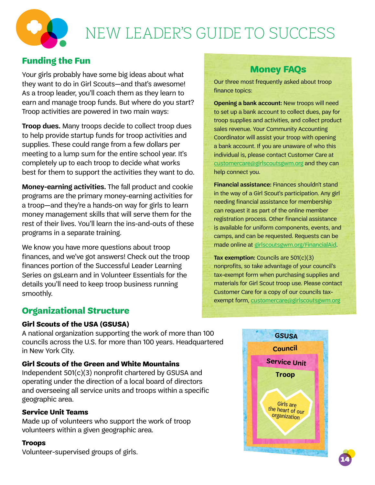

# **Funding the Fun**

Your girls probably have some big ideas about what they want to do in Girl Scouts—and that's awesome! As a troop leader, you'll coach them as they learn to earn and manage troop funds. But where do you start? Troop activities are powered in two main ways:

**Troop dues.** Many troops decide to collect troop dues to help provide startup funds for troop activities and supplies. These could range from a few dollars per meeting to a lump sum for the entire school year. It's completely up to each troop to decide what works best for them to support the activities they want to do.

**Money-earning activities.** The fall product and cookie programs are the primary money-earning activities for a troop—and they're a hands-on way for girls to learn money management skills that will serve them for the rest of their lives. You'll learn the ins-and-outs of these programs in a separate training.

We know you have more questions about troop finances, and we've got answers! Check out the troop finances portion of the Successful Leader Learning Series on gsLearn and in Volunteer Essentials for the details you'll need to keep troop business running smoothly.

# **Organizational Structure**

## **Girl Scouts of the USA (GSUSA)**

A national organization supporting the work of more than 100 councils across the U.S. for more than 100 years. Headquartered in New York City.

## **Girl Scouts of the Green and White Mountains**

Independent 501(c)(3) nonprofit chartered by GSUSA and operating under the direction of a local board of directors and overseeing all service units and troops within a specific geographic area.

## **Service Unit Teams**

Made up of volunteers who support the work of troop volunteers within a given geographic area.

## **Troops**

Volunteer-supervised groups of girls.

# **Money FAQs**

Our three most frequently asked about troop finance topics:

**Opening a bank account:** New troops will need to set up a bank account to collect dues, pay for troop supplies and activities, and collect product sales revenue. Your Community Accounting Coordinator will assist your troop with opening a bank account. If you are unaware of who this individual is, please contact Customer Care at customercare@girlscoutsgwm.org and they can help connect you.

**Financial assistance:** Finances shouldn't stand in the way of a Girl Scout's participation. Any girl needing financial assistance for membership can request it as part of the online member registration process. Other financial assistance is available for uniform components, events, and camps, and can be requested. Requests can be made online at girlscoutsgwm.org/FinancialAid.

**Tax exemption:** Councils are 501(c)(3) nonprofits, so take advantage of your council's tax-exempt form when purchasing supplies and materials for Girl Scout troop use. Please contact Customer Care for a copy of our councils taxexempt form, customercare@girlscoutsgwm.org



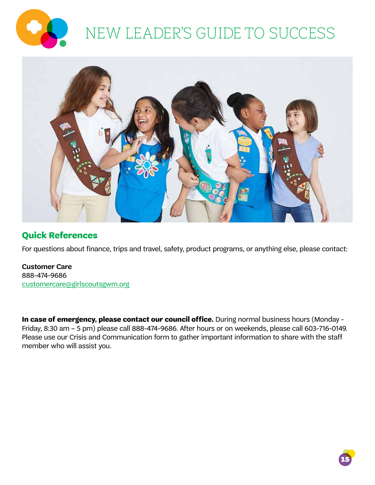



# **Quick References**

For questions about finance, trips and travel, safety, product programs, or anything else, please contact:

**Customer Care** 888-474-9686 customercare@girlscoutsgwm.org

**In case of emergency, please contact our council office.** During normal business hours (Monday - Friday, 8:30 am – 5 pm) please call 888-474-9686. After hours or on weekends, please call 603-716-0149. Please use our Crisis and Communication form to gather important information to share with the staff member who will assist you.